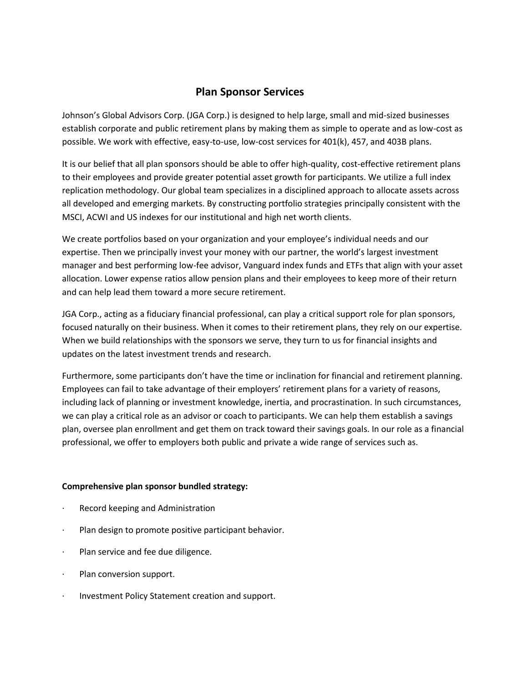# **Plan Sponsor Services**

Johnson's Global Advisors Corp. (JGA Corp.) is designed to help large, small and mid-sized businesses establish corporate and public retirement plans by making them as simple to operate and as low-cost as possible. We work with effective, easy-to-use, low-cost services for 401(k), 457, and 403B plans.

It is our belief that all plan sponsors should be able to offer high-quality, cost-effective retirement plans to their employees and provide greater potential asset growth for participants. We utilize a full index replication methodology. Our global team specializes in a disciplined approach to allocate assets across all developed and emerging markets. By constructing portfolio strategies principally consistent with the MSCI, ACWI and US indexes for our institutional and high net worth clients.

We create portfolios based on your organization and your employee's individual needs and our expertise. Then we principally invest your money with our partner, the world's largest investment manager and best performing low-fee advisor, Vanguard index funds and ETFs that align with your asset allocation. Lower expense ratios allow pension plans and their employees to keep more of their return and can help lead them toward a more secure retirement.

JGA Corp., acting as a fiduciary financial professional, can play a critical support role for plan sponsors, focused naturally on their business. When it comes to their retirement plans, they rely on our expertise. When we build relationships with the sponsors we serve, they turn to us for financial insights and updates on the latest investment trends and research.

Furthermore, some participants don't have the time or inclination for financial and retirement planning. Employees can fail to take advantage of their employers' retirement plans for a variety of reasons, including lack of planning or investment knowledge, inertia, and procrastination. In such circumstances, we can play a critical role as an advisor or coach to participants. We can help them establish a savings plan, oversee plan enrollment and get them on track toward their savings goals. In our role as a financial professional, we offer to employers both public and private a wide range of services such as.

# **Comprehensive plan sponsor bundled strategy:**

- Record keeping and Administration
- Plan design to promote positive participant behavior.
- · Plan service and fee due diligence.
- · Plan conversion support.
- Investment Policy Statement creation and support.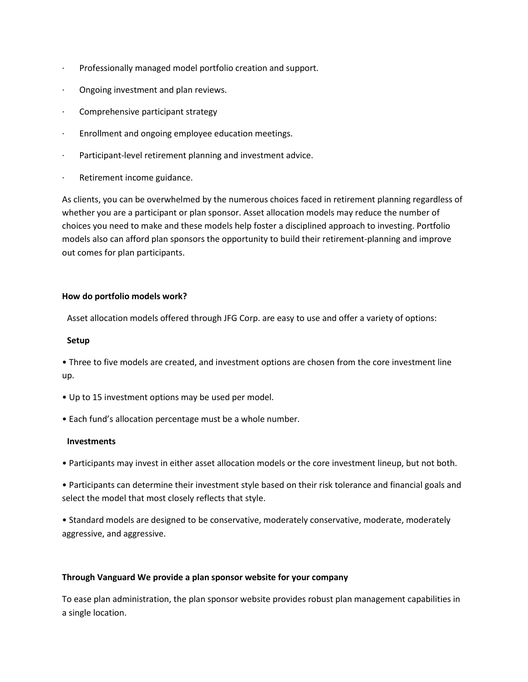- · Professionally managed model portfolio creation and support.
- · Ongoing investment and plan reviews.
- Comprehensive participant strategy
- · Enrollment and ongoing employee education meetings.
- · Participant-level retirement planning and investment advice.
- · Retirement income guidance.

As clients, you can be overwhelmed by the numerous choices faced in retirement planning regardless of whether you are a participant or plan sponsor. Asset allocation models may reduce the number of choices you need to make and these models help foster a disciplined approach to investing. Portfolio models also can afford plan sponsors the opportunity to build their retirement-planning and improve out comes for plan participants.

# **How do portfolio models work?**

Asset allocation models offered through JFG Corp. are easy to use and offer a variety of options:

### **Setup**

• Three to five models are created, and investment options are chosen from the core investment line up.

- Up to 15 investment options may be used per model.
- Each fund's allocation percentage must be a whole number.

# **Investments**

• Participants may invest in either asset allocation models or the core investment lineup, but not both.

• Participants can determine their investment style based on their risk tolerance and financial goals and select the model that most closely reflects that style.

• Standard models are designed to be conservative, moderately conservative, moderate, moderately aggressive, and aggressive.

# **Through Vanguard We provide a plan sponsor website for your company**

To ease plan administration, the plan sponsor website provides robust plan management capabilities in a single location.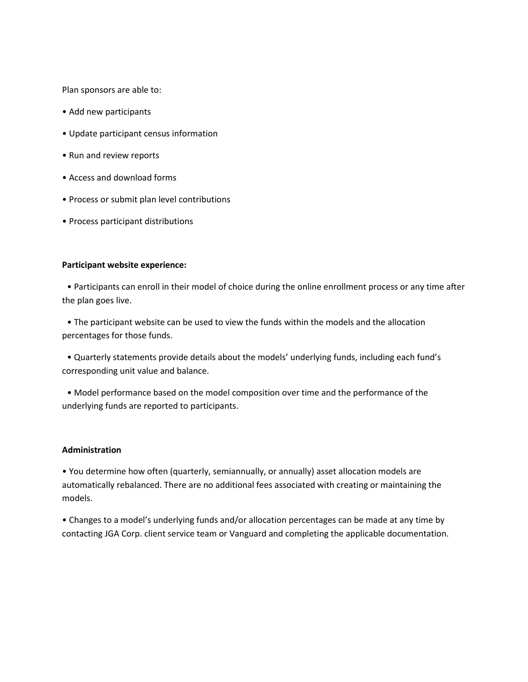Plan sponsors are able to:

- Add new participants
- Update participant census information
- Run and review reports
- Access and download forms
- Process or submit plan level contributions
- Process participant distributions

#### **Participant website experience:**

• Participants can enroll in their model of choice during the online enrollment process or any time after the plan goes live.

• The participant website can be used to view the funds within the models and the allocation percentages for those funds.

• Quarterly statements provide details about the models' underlying funds, including each fund's corresponding unit value and balance.

• Model performance based on the model composition over time and the performance of the underlying funds are reported to participants.

#### **Administration**

• You determine how often (quarterly, semiannually, or annually) asset allocation models are automatically rebalanced. There are no additional fees associated with creating or maintaining the models.

• Changes to a model's underlying funds and/or allocation percentages can be made at any time by contacting JGA Corp. client service team or Vanguard and completing the applicable documentation.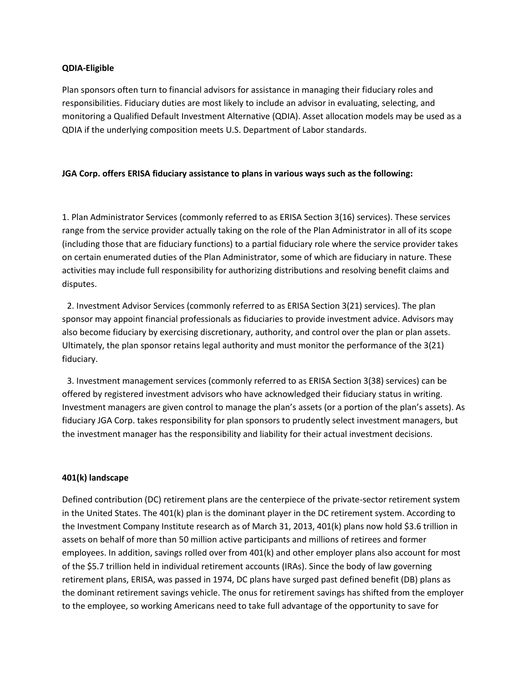## **QDIA-Eligible**

Plan sponsors often turn to financial advisors for assistance in managing their fiduciary roles and responsibilities. Fiduciary duties are most likely to include an advisor in evaluating, selecting, and monitoring a Qualified Default Investment Alternative (QDIA). Asset allocation models may be used as a QDIA if the underlying composition meets U.S. Department of Labor standards.

## **JGA Corp. offers ERISA fiduciary assistance to plans in various ways such as the following:**

1. Plan Administrator Services (commonly referred to as ERISA Section 3(16) services). These services range from the service provider actually taking on the role of the Plan Administrator in all of its scope (including those that are fiduciary functions) to a partial fiduciary role where the service provider takes on certain enumerated duties of the Plan Administrator, some of which are fiduciary in nature. These activities may include full responsibility for authorizing distributions and resolving benefit claims and disputes.

 2. Investment Advisor Services (commonly referred to as ERISA Section 3(21) services). The plan sponsor may appoint financial professionals as fiduciaries to provide investment advice. Advisors may also become fiduciary by exercising discretionary, authority, and control over the plan or plan assets. Ultimately, the plan sponsor retains legal authority and must monitor the performance of the 3(21) fiduciary.

 3. Investment management services (commonly referred to as ERISA Section 3(38) services) can be offered by registered investment advisors who have acknowledged their fiduciary status in writing. Investment managers are given control to manage the plan's assets (or a portion of the plan's assets). As fiduciary JGA Corp. takes responsibility for plan sponsors to prudently select investment managers, but the investment manager has the responsibility and liability for their actual investment decisions.

#### **401(k) landscape**

Defined contribution (DC) retirement plans are the centerpiece of the private-sector retirement system in the United States. The 401(k) plan is the dominant player in the DC retirement system. According to the Investment Company Institute research as of March 31, 2013, 401(k) plans now hold \$3.6 trillion in assets on behalf of more than 50 million active participants and millions of retirees and former employees. In addition, savings rolled over from 401(k) and other employer plans also account for most of the \$5.7 trillion held in individual retirement accounts (IRAs). Since the body of law governing retirement plans, ERISA, was passed in 1974, DC plans have surged past defined benefit (DB) plans as the dominant retirement savings vehicle. The onus for retirement savings has shifted from the employer to the employee, so working Americans need to take full advantage of the opportunity to save for